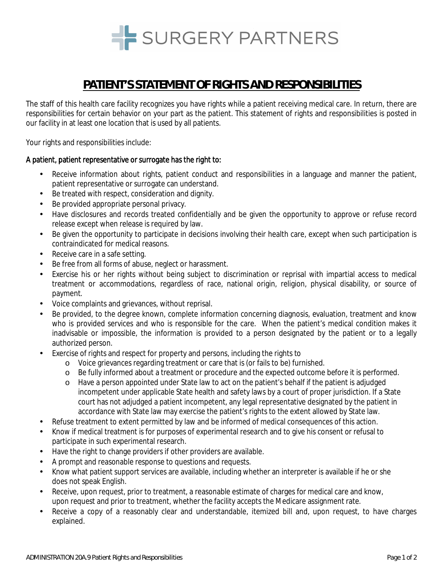

# **PATIENT'S STATEMENT OF RIGHTS AND RESPONSIBILITIES**

The staff of this health care facility recognizes you have rights while a patient receiving medical care. In return, there are responsibilities for certain behavior on your part as the patient. This statement of rights and responsibilities is posted in our facility in at least one location that is used by all patients.

Your rights and responsibilities include:

### A patient, patient representative or surrogate has the *right* to:

- Receive information about rights, patient conduct and responsibilities in a language and manner the patient, patient representative or surrogate can understand.
- Be treated with respect, consideration and dignity.
- Be provided appropriate personal privacy.
- Have disclosures and records treated confidentially and be given the opportunity to approve or refuse record release except when release is required by law.
- Be given the opportunity to participate in decisions involving their health care, except when such participation is contraindicated for medical reasons.
- Receive care in a safe setting.
- Be free from all forms of abuse, neglect or harassment.
- Exercise his or her rights without being subject to discrimination or reprisal with impartial access to medical treatment or accommodations, regardless of race, national origin, religion, physical disability, or source of payment.
- Voice complaints and grievances, without reprisal.
- Be provided, to the degree known, complete information concerning diagnosis, evaluation, treatment and know who is provided services and who is responsible for the care. When the patient's medical condition makes it inadvisable or impossible, the information is provided to a person designated by the patient or to a legally authorized person.
- Exercise of rights and respect for property and persons, including the rights to
	- o Voice grievances regarding treatment or care that is (or fails to be) furnished.
	- o Be fully informed about a treatment or procedure and the expected outcome before it is performed.
	- o Have a person appointed under State law to act on the patient's behalf if the patient is adjudged incompetent under applicable State health and safety laws by a court of proper jurisdiction. If a State court has not adjudged a patient incompetent, any legal representative designated by the patient in accordance with State law may exercise the patient's rights to the extent allowed by State law.
- Refuse treatment to extent permitted by law and be informed of medical consequences of this action.
- Know if medical treatment is for purposes of experimental research and to give his consent or refusal to participate in such experimental research.
- Have the right to change providers if other providers are available.
- A prompt and reasonable response to questions and requests.
- Know what patient support services are available, including whether an interpreter is available if he or she does not speak English.
- Receive, upon request, prior to treatment, a reasonable estimate of charges for medical care and know, upon request and prior to treatment, whether the facility accepts the Medicare assignment rate.
- Receive a copy of a reasonably clear and understandable, itemized bill and, upon request, to have charges explained.